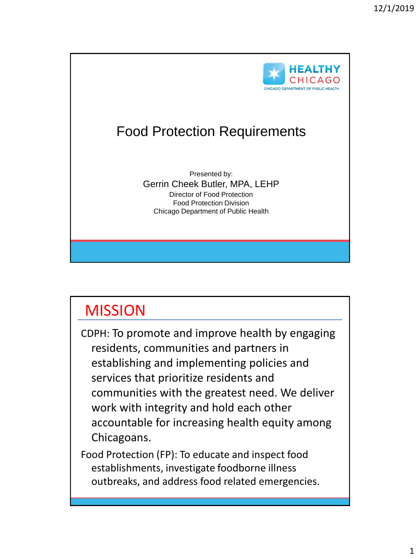

### Food Protection Requirements

Presented by: Gerrin Cheek Butler, MPA, LEHP Director of Food Protection Food Protection Division Chicago Department of Public Health

### MISSION

CDPH: To promote and improve health by engaging residents, communities and partners in establishing and implementing policies and services that prioritize residents and communities with the greatest need. We deliver work with integrity and hold each other accountable for increasing health equity among Chicagoans.

Food Protection (FP): To educate and inspect food establishments, investigate foodborne illness outbreaks, and address food related emergencies.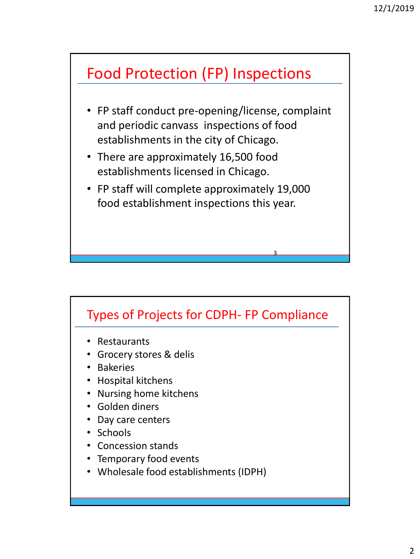

- FP staff conduct pre-opening/license, complaint and periodic canvass inspections of food establishments in the city of Chicago.
- There are approximately 16,500 food establishments licensed in Chicago.
- FP staff will complete approximately 19,000 food establishment inspections this year.



3

- Restaurants
- Grocery stores & delis
- Bakeries
- Hospital kitchens
- Nursing home kitchens
- Golden diners
- Day care centers
- Schools
- Concession stands
- Temporary food events
- Wholesale food establishments (IDPH)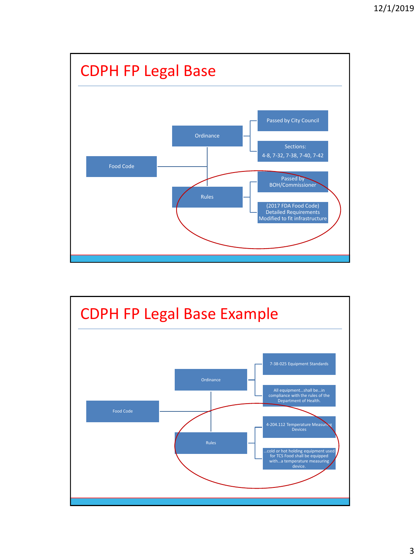

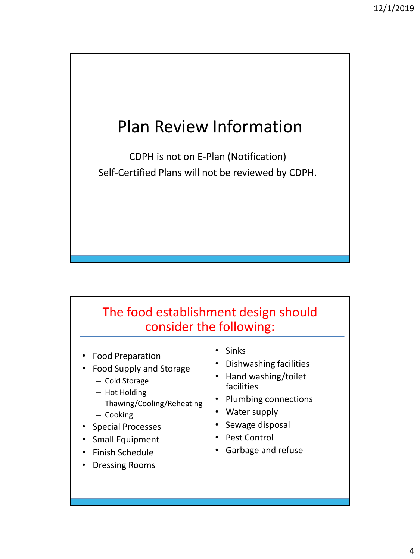# Plan Review Information

CDPH is not on E-Plan (Notification) Self-Certified Plans will not be reviewed by CDPH.

#### The food establishment design should consider the following:

- **Food Preparation**
- Food Supply and Storage
	- Cold Storage
	- Hot Holding
	- Thawing/Cooling/Reheating
	- Cooking
- Special Processes
- Small Equipment
- Finish Schedule
- Dressing Rooms
- essential extension of the Sinks of the Sinks of the Sinks of the Sinks of the Sinks of the Sinks of the Sinks of the Sinks of the Sinks of the Sinks of the Sinks of the Sinks of the Sinks of the Sinks of the Sinks of the
	- Dishwashing facilities
	- Hand washing/toilet facilities
	- Plumbing connections
	- Water supply
	- Sewage disposal
	- Pest Control
	- Garbage and refuse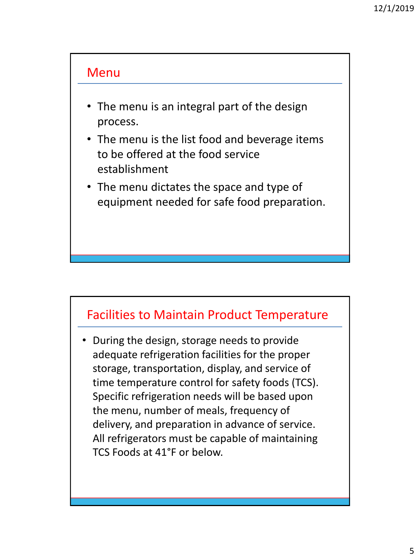#### Menu

- The menu is an integral part of the design process.
- The menu is the list food and beverage items to be offered at the food service establishment
- The menu dictates the space and type of equipment needed for safe food preparation.

#### Facilities to Maintain Product Temperature

• During the design, storage needs to provide adequate refrigeration facilities for the proper storage, transportation, display, and service of time temperature control for safety foods (TCS). Specific refrigeration needs will be based upon the menu, number of meals, frequency of delivery, and preparation in advance of service. All refrigerators must be capable of maintaining TCS Foods at 41°F or below.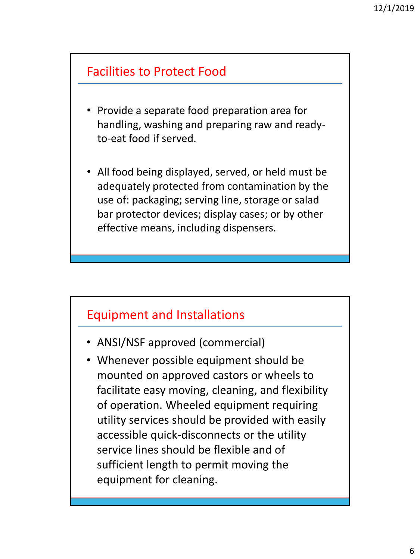#### Facilities to Protect Food

- Provide a separate food preparation area for handling, washing and preparing raw and readyto-eat food if served.
- All food being displayed, served, or held must be adequately protected from contamination by the use of: packaging; serving line, storage or salad bar protector devices; display cases; or by other effective means, including dispensers.

#### Equipment and Installations

- ANSI/NSF approved (commercial)
- Whenever possible equipment should be mounted on approved castors or wheels to facilitate easy moving, cleaning, and flexibility of operation. Wheeled equipment requiring utility services should be provided with easily accessible quick-disconnects or the utility service lines should be flexible and of sufficient length to permit moving the equipment for cleaning.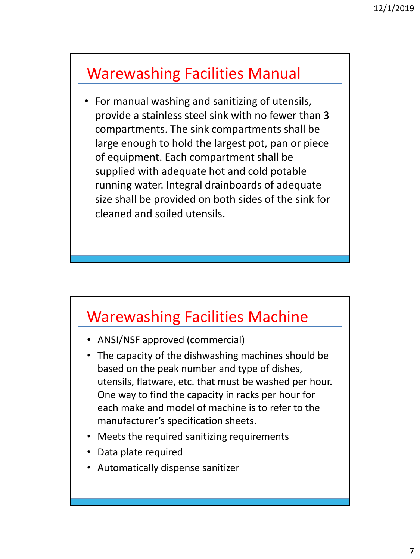## Warewashing Facilities Manual

• For manual washing and sanitizing of utensils, provide a stainless steel sink with no fewer than 3 compartments. The sink compartments shall be large enough to hold the largest pot, pan or piece of equipment. Each compartment shall be supplied with adequate hot and cold potable running water. Integral drainboards of adequate size shall be provided on both sides of the sink for cleaned and soiled utensils.

## Warewashing Facilities Machine

- ANSI/NSF approved (commercial)
- The capacity of the dishwashing machines should be based on the peak number and type of dishes, utensils, flatware, etc. that must be washed per hour. One way to find the capacity in racks per hour for each make and model of machine is to refer to the manufacturer's specification sheets.
- Meets the required sanitizing requirements
- Data plate required
- Automatically dispense sanitizer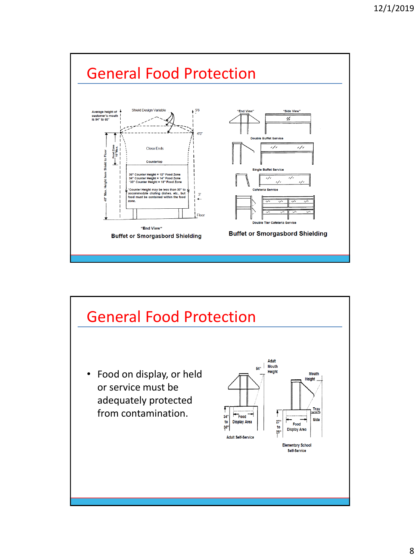

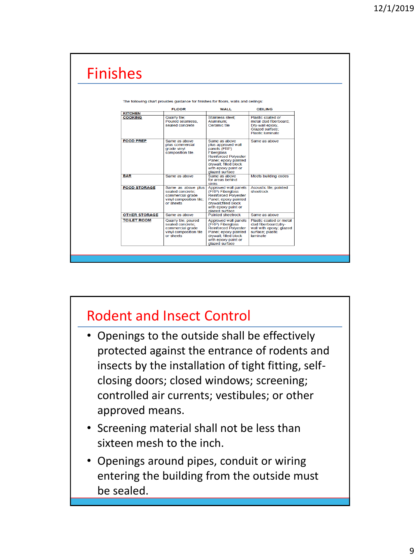|                      | The following chart provides guidance for finishes for floors, walls and ceilings:                 |                                                                                                                                                                                            |                                                                                                              |
|----------------------|----------------------------------------------------------------------------------------------------|--------------------------------------------------------------------------------------------------------------------------------------------------------------------------------------------|--------------------------------------------------------------------------------------------------------------|
|                      | <b>FLOOR</b>                                                                                       | <b>WALL</b>                                                                                                                                                                                | <b>CEILING</b>                                                                                               |
| <b>KITCHEN</b>       |                                                                                                    |                                                                                                                                                                                            |                                                                                                              |
| <b>COOKING</b>       | Quarry tile;<br>Poured seamless.<br>sealed concrete                                                | Stainless steel:<br>Aluminum:<br>Ceramic tile                                                                                                                                              | Plastic coated or<br>metal clad fiberboard:<br>Dry-wall epoxy.<br>Glazed surface:<br><b>Plastic laminate</b> |
| <b>FOOD PREP</b>     | Same as above<br>plus commercial<br>grade vinyl<br>composition tile.                               | Same as above<br>plus approved wall<br>panels (FRP)<br>Fiberglass<br><b>Reinforced Polvester</b><br>Panel; epoxy painted<br>drywall: filled block<br>with epoxy paint or<br>glazed surface | Same as above                                                                                                |
| <b>BAR</b>           | Same as above                                                                                      | Same as above<br>for areas behind<br><b>sinks</b>                                                                                                                                          | Meets building codes                                                                                         |
| <b>FOOD STORAGE</b>  | Same as above plus<br>sealed concrete;<br>commercial grade<br>vinyl composition tile;<br>or sheets | Approved wall panels<br>(FRP) Fiberglass<br><b>Reinforced Polvester</b><br>Panel; epoxy painted<br>drywall; filled block<br>with epoxy paint or<br>glazed surface                          | Acoustic tile; painted<br>sheetrock                                                                          |
| <b>OTHER STORAGE</b> | Same as above                                                                                      | <b>Painted sheetrock</b>                                                                                                                                                                   | Same as above                                                                                                |
| <b>TOILET ROOM</b>   | Quarry tile; poured<br>sealed concrete:<br>commercial grade<br>vinvl composition tile<br>or sheets | Approved wall panels<br>(FRP) Fiberalass<br><b>Reinforced Polvester</b><br>Panel: epoxy painted<br>drywall; filled block<br>with epoxy paint or<br>glazed surface                          | Plastic coated or metal<br>clad fiberboard:drv-<br>wall with epoxy; glazed<br>surface: plastic<br>laminate   |

### Rodent and Insect Control

- Openings to the outside shall be effectively protected against the entrance of rodents and insects by the installation of tight fitting, selfclosing doors; closed windows; screening; controlled air currents; vestibules; or other approved means.
- Screening material shall not be less than sixteen mesh to the inch.
- Openings around pipes, conduit or wiring entering the building from the outside must be sealed.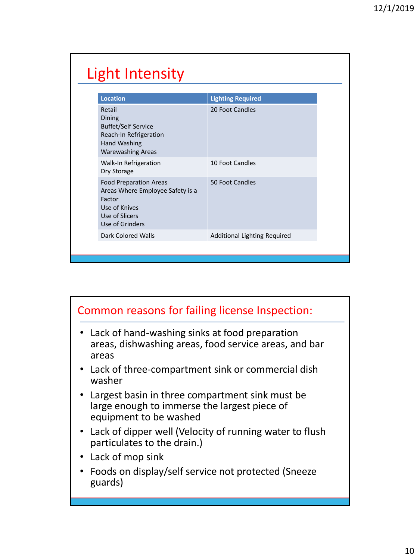| <b>Location</b>                                                                                                                   | <b>Lighting Required</b>     |  |
|-----------------------------------------------------------------------------------------------------------------------------------|------------------------------|--|
| Retail<br><b>Dining</b><br><b>Buffet/Self Service</b><br>Reach-In Refrigeration<br>Hand Washing<br><b>Warewashing Areas</b>       | 20 Foot Candles              |  |
| Walk-In Refrigeration<br>Dry Storage                                                                                              | 10 Foot Candles              |  |
| <b>Food Preparation Areas</b><br>Areas Where Employee Safety is a<br>Factor<br>Use of Knives<br>Use of Slicers<br>Use of Grinders | 50 Foot Candles              |  |
| Dark Colored Walls                                                                                                                | Additional Lighting Required |  |

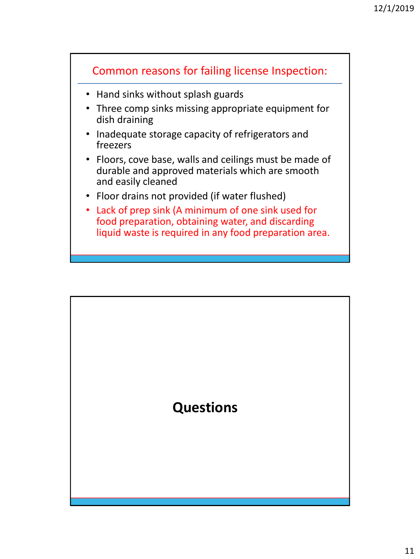

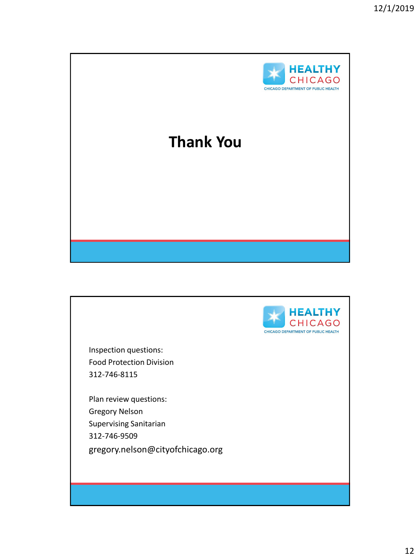

# **Thank You**



Inspection questions: Food Protection Division<br>212.746.8115 312-746-8115

> Plan review questions: Gregory Nelson Supervising Sanitarian 312-746-9509 gregory.nelson@cityofchicago.org